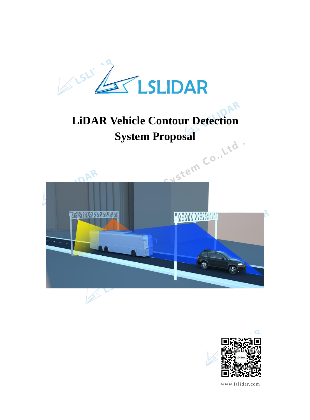

# **LiDAR Vehicle Contour Detection**





www.lslidar.com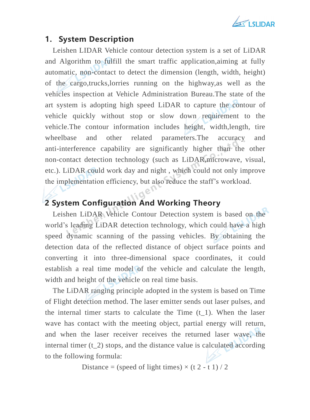

#### **1. System Description**

Leishen LIDAR Vehicle contour detection system is a set of LiDAR and Algorithm to fulfill the smart traffic application,aiming at fully automatic, non-contact to detect the dimension (length, width, height) of the cargo,trucks,lorries running on the highway,as well as the vehicles inspection at Vehicle Administration Bureau.The state of the art system is adopting high speed LiDAR to capture the contour of vehicle quickly without stop or slow down requirement to the vehicle.The contour information includes height, width,length, tire wheelbase and other related parameters.The accuracy and anti-interference capability are significantly higher than the other non-contact detection technology (such as LiDAR,microwave, visual, etc.). LiDAR could work day and night , which could not only improve the implementation efficiency, but also reduce the staff's workload.

## **2 System Configuration And Working Theory**

Leishen LiDAR Vehicle Contour Detection system is based on the world's leading LiDAR detection technology, which could have a high speed dynamic scanning of the passing vehicles. By obtaining the detection data of the reflected distance of object surface points and converting it into three-dimensional space coordinates, it could establish a real time model of the vehicle and calculate the length, width and height of the vehicle on real time basis.

The LiDAR ranging principle adopted in the system is based on Time of Flight detection method. The laser emitter sends out laser pulses, and the internal timer starts to calculate the Time  $(t_1)$ . When the laser wave has contact with the meeting object, partial energy will return, and when the laser receiver receives the returned laser wave, the internal timer (t 2) stops, and the distance value is calculated according to the following formula:

Distance = (speed of light times)  $\times$  (t 2 - t 1) / 2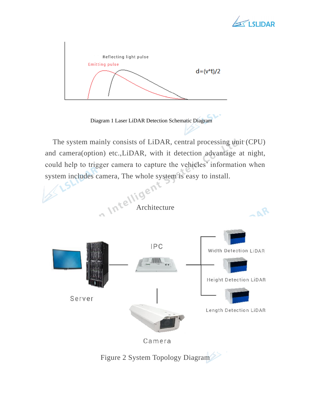



Diagram 1 Laser LiDAR Detection Schematic Diagram

The system mainly consists of LiDAR, central processing unit (CPU) and camera(option) etc.,LiDAR, with it detection advantage at night, could help to trigger camera to capture the vehicles' information when



Camera

Figure 2 System Topology Diagram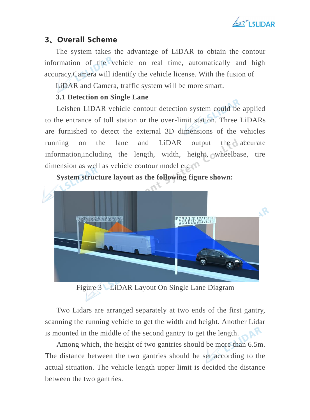

#### **3、Overall Scheme**

The system takes the advantage of LiDAR to obtain the contour information of the vehicle on real time, automatically and high accuracy.Camera will identify the vehicle license. With the fusion of

LiDAR and Camera, traffic system will be more smart.

#### **3.1 Detection on Single Lane**

Leishen LiDAR vehicle contour detection system could be applied to the entrance of toll station or the over-limit station. Three LiDARs are furnished to detect the external 3D dimensions of the vehicles running on the lane and LiDAR output the accurate information,including the length, width, height, wheelbase, tire dimension as well as vehicle contour model etc.



**System structure layout as the following figure shown:**

Figure 3 LiDAR Layout On Single Lane Diagram

Two Lidars are arranged separately at two ends of the first gantry, scanning the running vehicle to get the width and height. Another Lidar is mounted in the middle of the second gantry to get the length.

Among which, the height of two gantries should be more than 6.5m. The distance between the two gantries should be set according to the actual situation. The vehicle length upper limit is decided the distance between the two gantries.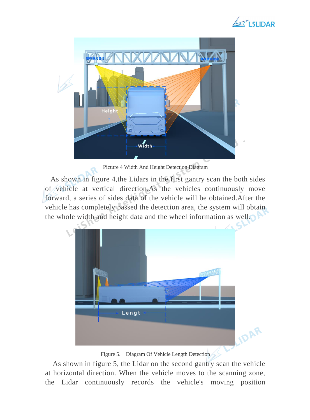



Picture 4 Width And Height Detection Diagram

As shown in figure 4,the Lidars in the first gantry scan the both sides of vehicle at vertical direction.As the vehicles continuously move forward, a series of sides data of the vehicle will be obtained.After the vehicle has completely passed the detection area, the system will obtain the whole width and height data and the wheel information as well.



Figure 5. Diagram Of Vehicle Length Detection

As shown in figure 5, the Lidar on the second gantry scan the vehicle at horizontal direction. When the vehicle moves to the scanning zone, the Lidar continuously records the vehicle's moving position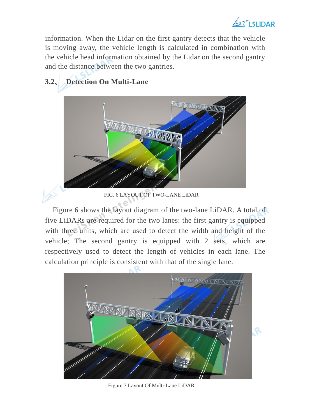

information. When the Lidar on the first gantry detects that the vehicle is moving away, the vehicle length is calculated in combination with the vehicle head information obtained by the Lidar on the second gantry and the distance between the two gantries.

# **3.2、 Detection On Multi-Lane**



FIG. 6 LAYOUT OF TWO-LANE LiDAR

Figure 6 shows the layout diagram of the two-lane LiDAR. A total of five LiDARs are required for the two lanes: the first gantry is equipped with three units, which are used to detect the width and height of the vehicle; The second gantry is equipped with 2 sets, which are respectively used to detect the length of vehicles in each lane. The calculation principle is consistent with that of the single lane.



Figure 7 Layout Of Multi-Lane LiDAR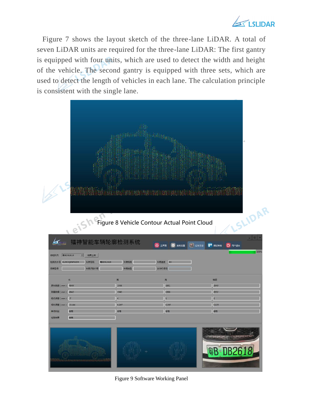

Figure 7 shows the layout sketch of the three-lane LiDAR. A total of seven LiDAR units are required for the three-lane LiDAR: The first gantry is equipped with four units, which are used to detect the width and height of the vehicle. The second gantry is equipped with three sets, which are used to detect the length of vehicles in each lane. The calculation principle is consistent with the single lane.

| eish                                                                                              |                                                           | $\ \  \ $<br><b>The Blue Box</b><br>ingibergununitututututututututut<br>Figure 8 Vehicle Contour Actual Point Cloud | SLIDAR<br>$ \Box$                         |
|---------------------------------------------------------------------------------------------------|-----------------------------------------------------------|---------------------------------------------------------------------------------------------------------------------|-------------------------------------------|
| ЬΚ,<br>ania<br>Matuki<br><b>零BDB2618</b><br>■ 结果上传<br>待检队列<br>检测流水<br>129DQENFWDX<br>车牌号码<br>品牌型号 | 镭神智能车辆轮廓检测系统<br><b>零BDB2618</b><br>车牌种类<br>车辆识别代号<br>车辆类型 | △ 主界面<br>☆ 系统设置<br>车辆速度<br>80<br>发动机号码                                                                              | <b>C</b> 过车日志<br>■ 调试帮助<br>① 用户退出<br>1009 |
| 长                                                                                                 | 眾                                                         | 高                                                                                                                   | 轴距                                        |
| 原车数据 (mm) 4849                                                                                    | 1936                                                      | 1681                                                                                                                | 2849                                      |
| 4842<br>测量数据 (mm)<br>$-7$<br>绝对误差 (mm)                                                            | 1940<br>4                                                 | 1686<br>5                                                                                                           | 2852<br>$3^{\circ}$                       |
| 相对误差 (mm) -0.144<br>合格                                                                            | 0.207                                                     | 0.297                                                                                                               | 0.105<br>合格                               |
|                                                                                                   |                                                           |                                                                                                                     |                                           |

Figure 9 Software Working Panel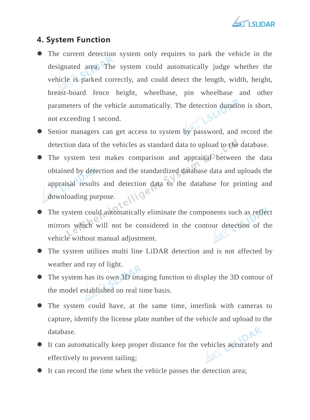

#### **4. System Function**

- ⚫ The current detection system only requires to park the vehicle in the designated area. The system could automatically judge whether the vehicle is parked correctly, and could detect the length, width, height, breast-board fence height, wheelbase, pin wheelbase and other parameters of the vehicle automatically. The detection duration is short, not exceeding 1 second.
- ⚫ Senior managers can get access to system by password, and record the detection data of the vehicles as standard data to upload to the database.
- ⚫ The system test makes comparison and appraisal between the data obtained by detection and the standardized database data and uploads the appraisal results and detection data to the database for printing and downloading purpose.
- ⚫ The system could automatically eliminate the components such as reflect mirrors which will not be considered in the contour detection of the vehicle without manual adjustment.
- ⚫ The system utilizes multi line LiDAR detection and is not affected by weather and ray of light.
- ⚫ The system has its own 3D imaging function to display the 3D contour of the model established on real time basis.
- ⚫ The system could have, at the same time, interlink with cameras to capture, identify the license plate number of the vehicle and upload to the database.
- ⚫ It can automatically keep proper distance for the vehicles accurately and effectively to prevent tailing;
- It can record the time when the vehicle passes the detection area;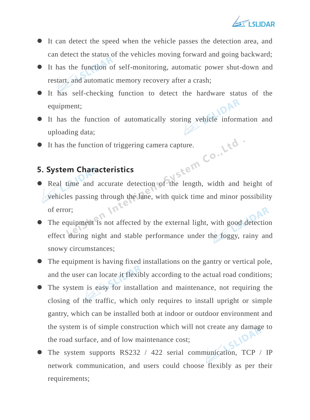

- ⚫ It can detect the speed when the vehicle passes the detection area, and can detect the status of the vehicles moving forward and going backward;
- ⚫ It has the function of self-monitoring, automatic power shut-down and restart, and automatic memory recovery after a crash;
- ⚫ It has self-checking function to detect the hardware status of the equipment;
- ⚫ It has the function of automatically storing vehicle information and uploading data;
- 

#### **5. System Characteristics**

- It has the function of triggering camera capture. ⚫ Real time and accurate detection of the length, width and height of vehicles passing through the lane, with quick time and minor possibility of error;
- ⚫ The equipment is not affected by the external light, with good detection effect during night and stable performance under the foggy, rainy and snowy circumstances;
- ⚫ The equipment is having fixed installations on the gantry or vertical pole, and the user can locate it flexibly according to the actual road conditions;
- ⚫ The system is easy for installation and maintenance, not requiring the closing of the traffic, which only requires to install upright or simple gantry, which can be installed both at indoor or outdoor environment and the system is of simple construction which will not create any damage to the road surface, and of low maintenance cost;
- ⚫ The system supports RS232 / 422 serial communication, TCP / IP network communication, and users could choose flexibly as per their requirements;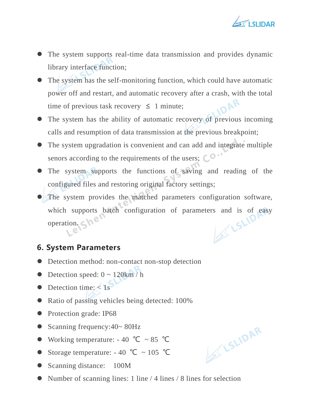

- ⚫ The system supports real-time data transmission and provides dynamic library interface function;
- ⚫ The system has the self-monitoring function, which could have automatic power off and restart, and automatic recovery after a crash, with the total time of previous task recovery  $\leq 1$  minute;
- ⚫ The system has the ability of automatic recovery of previous incoming calls and resumption of data transmission at the previous breakpoint;
- ⚫ The system upgradation is convenient and can add and integrate multiple senors according to the requirements of the users;  $\mathbb{C}^{\bullet}$
- ⚫ The system supports the functions of saving and reading of the configured files and restoring original factory settings;
- ⚫ The system provides the matched parameters configuration software, which supports batch configuration of parameters and is of easy operation. operation. She

## **6. System Parameters**

- Detection method: non-contact non-stop detection
- $\bullet$  Detection speed:  $0 \sim 120 \text{km/h}$
- $\bullet$  Detection time:  $\lt 1s$
- Ratio of passing vehicles being detected: 100%
- Protection grade: IP68
- Scanning frequency:40~ 80Hz
- Working temperature:  $-40$  °C  $\sim 85$  °C
- ⚫ Storage temperature: 40 ℃ ~ 105 ℃
- Scanning distance: 100M
- Number of scanning lines: 1 line / 4 lines / 8 lines for selection

SLIDAR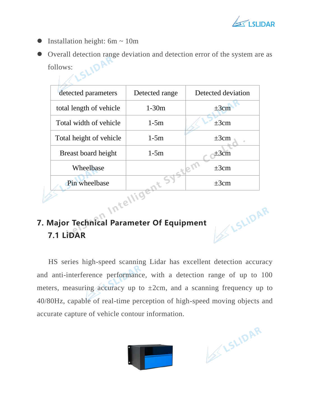

- $\bullet$  Installation height: 6m ~ 10m
- O Overall detection range deviation and detection error of the system are as follows: follows:

| detected parameters     | Detected range | Detected deviation |
|-------------------------|----------------|--------------------|
| total length of vehicle | $1-30m$        | $\pm 3$ cm         |
| Total width of vehicle  | $1-5m$         | $\pm 3cm$          |
| Total height of vehicle | $1-5m$         | $\pm 3cm$          |
| Breast board height     | $1-5m$         | $+3cm$             |
| Wheelbase               |                | $\pm 3cm$          |
| Pin wheelbase           |                | $+3cm$             |

# **7. Major Technical Parameter Of Equipment 7.1 LiDAR**

HS series high-speed scanning Lidar has excellent detection accuracy and anti-interference performance, with a detection range of up to 100 meters, measuring accuracy up to  $\pm 2$ cm, and a scanning frequency up to 40/80Hz, capable of real-time perception of high-speed moving objects and accurate capture of vehicle contour information.



ESLIDAR

**SLIDAR**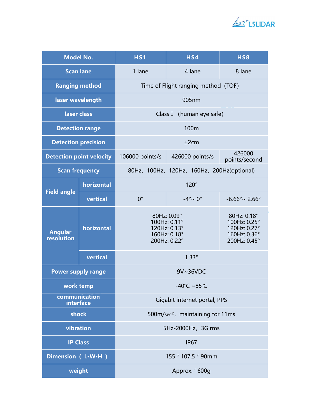

| <b>Model No.</b>                |            | <b>HS1</b>                                   | HS4                                                                         | <b>HS8</b>                                                                  |  |  |
|---------------------------------|------------|----------------------------------------------|-----------------------------------------------------------------------------|-----------------------------------------------------------------------------|--|--|
| <b>Scan lane</b>                |            | 1 lane                                       | 4 lane                                                                      | 8 lane                                                                      |  |  |
| <b>Ranging method</b>           |            | Time of Flight ranging method (TOF)          |                                                                             |                                                                             |  |  |
| laser wavelength                |            | 905nm                                        |                                                                             |                                                                             |  |  |
| laser class                     |            | Class I (human eye safe)                     |                                                                             |                                                                             |  |  |
| <b>Detection range</b>          |            | 100m                                         |                                                                             |                                                                             |  |  |
| <b>Detection precision</b>      |            | ±2cm                                         |                                                                             |                                                                             |  |  |
| <b>Detection point velocity</b> |            | 106000 points/s                              | 426000 points/s                                                             | 426000<br>points/second                                                     |  |  |
| <b>Scan frequency</b>           |            | 80Hz, 100Hz, 120Hz, 160Hz, 200Hz(optional)   |                                                                             |                                                                             |  |  |
| <b>Field angle</b>              | horizontal |                                              | $120^\circ$                                                                 |                                                                             |  |  |
|                                 | vertical   | $0^{\circ}$                                  | $-4^\circ \sim 0^\circ$                                                     | $-6.66^{\circ}$ ~ 2.66°                                                     |  |  |
| <b>Angular</b><br>resolution    | horizontal |                                              | 80Hz: 0.09°<br>100Hz: 0.11°<br>120Hz: 0.13°<br>160Hz: 0.18°<br>200Hz: 0.22° | 80Hz: 0.18°<br>100Hz: 0.25°<br>120Hz: 0.27°<br>160Hz: 0.36°<br>200Hz: 0.45° |  |  |
|                                 | vertical   |                                              |                                                                             |                                                                             |  |  |
| <b>Power supply range</b>       |            | 9V~36VDC                                     |                                                                             |                                                                             |  |  |
| work temp                       |            | -40°C ~85°C                                  |                                                                             |                                                                             |  |  |
| communication<br>interface      |            | Gigabit internet portal, PPS                 |                                                                             |                                                                             |  |  |
| shock                           |            | 500m/sec <sup>2</sup> , maintaining for 11ms |                                                                             |                                                                             |  |  |
| vibration                       |            | 5Hz-2000Hz, 3G rms                           |                                                                             |                                                                             |  |  |
| <b>IP Class</b>                 |            | <b>IP67</b>                                  |                                                                             |                                                                             |  |  |
| Dimension (L.W.H)               |            | 155 * 107.5 * 90mm                           |                                                                             |                                                                             |  |  |
| weight                          |            | Approx. 1600g                                |                                                                             |                                                                             |  |  |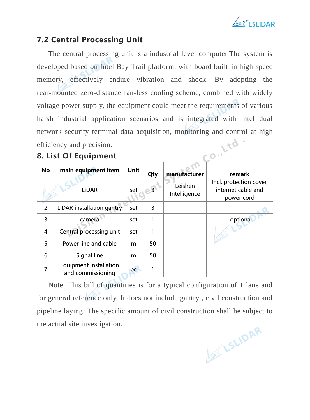

#### **7.2 Central Processing Unit**

The central processing unit is a industrial level computer.The system is developed based on Intel Bay Trail platform, with board built-in high-speed memory, effectively endure vibration and shock. By adopting the rear-mounted zero-distance fan-less cooling scheme, combined with widely voltage power supply, the equipment could meet the requirements of various harsh industrial application scenarios and is integrated with Intel dual network security terminal data acquisition, monitoring and control at high<br>efficiency and precision.<br>8. List Of Equipment efficiency and precision.

## **8. List Of Equipment**

| <b>No</b>      | main equipment item                         | <b>Unit</b> | Qty            | manufacturer            | remark                                                      |
|----------------|---------------------------------------------|-------------|----------------|-------------------------|-------------------------------------------------------------|
|                | <b>LiDAR</b>                                | set         | $\overline{3}$ | Leishen<br>Intelligence | Incl. protection cover,<br>internet cable and<br>power cord |
| $\overline{2}$ | LiDAR installation gantry                   | set         | 3              |                         |                                                             |
| 3              | camera                                      | set         | 1              |                         | optional                                                    |
| $\overline{4}$ | Central processing unit                     | set         | 1              |                         |                                                             |
| 5              | Power line and cable                        | m           | 50             |                         |                                                             |
| 6              | Signal line                                 | m           | 50             |                         |                                                             |
| 7              | Equipment installation<br>and commissioning | pc          | 1              |                         |                                                             |

Note: This bill of quantities is for a typical configuration of 1 lane and for general reference only. It does not include gantry , civil construction and pipeline laying. The specific amount of civil construction shall be subject to the actual site investigation.

ESLIDAR